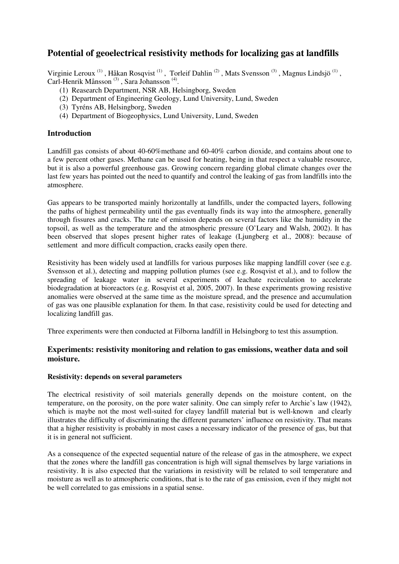# **Potential of geoelectrical resistivity methods for localizing gas at landfills**

Virginie Leroux<sup>(1)</sup>, Håkan Rosqvist<sup>(1)</sup>, Torleif Dahlin<sup>(2)</sup>, Mats Svensson<sup>(3)</sup>, Magnus Lindsjö<sup>(1)</sup>, Carl-Henrik Månsson<sup>(3)</sup>, Sara Johansson<sup>(4)</sup>.

- (1) Reasearch Department, NSR AB, Helsingborg, Sweden
- (2) Department of Engineering Geology, Lund University, Lund, Sweden
- (3) Tyréns AB, Helsingborg, Sweden
- (4) Department of Biogeophysics, Lund University, Lund, Sweden

# **Introduction**

Landfill gas consists of about 40-60%methane and 60-40% carbon dioxide, and contains about one to a few percent other gases. Methane can be used for heating, being in that respect a valuable resource, but it is also a powerful greenhouse gas. Growing concern regarding global climate changes over the last few years has pointed out the need to quantify and control the leaking of gas from landfills into the atmosphere.

Gas appears to be transported mainly horizontally at landfills, under the compacted layers, following the paths of highest permeability until the gas eventually finds its way into the atmosphere, generally through fissures and cracks. The rate of emission depends on several factors like the humidity in the topsoil, as well as the temperature and the atmospheric pressure (O'Leary and Walsh, 2002). It has been observed that slopes present higher rates of leakage (Ljungberg et al., 2008): because of settlement and more difficult compaction, cracks easily open there.

Resistivity has been widely used at landfills for various purposes like mapping landfill cover (see e.g. Svensson et al.), detecting and mapping pollution plumes (see e.g. Rosqvist et al.), and to follow the spreading of leakage water in several experiments of leachate recirculation to accelerate biodegradation at bioreactors (e.g. Rosqvist et al, 2005, 2007). In these experiments growing resistive anomalies were observed at the same time as the moisture spread, and the presence and accumulation of gas was one plausible explanation for them. In that case, resistivity could be used for detecting and localizing landfill gas.

Three experiments were then conducted at Filborna landfill in Helsingborg to test this assumption.

# **Experiments: resistivity monitoring and relation to gas emissions, weather data and soil moisture.**

## **Resistivity: depends on several parameters**

The electrical resistivity of soil materials generally depends on the moisture content, on the temperature, on the porosity, on the pore water salinity. One can simply refer to Archie's law (1942), which is maybe not the most well-suited for clayey landfill material but is well-known and clearly illustrates the difficulty of discriminating the different parameters' influence on resistivity. That means that a higher resistivity is probably in most cases a necessary indicator of the presence of gas, but that it is in general not sufficient.

As a consequence of the expected sequential nature of the release of gas in the atmosphere, we expect that the zones where the landfill gas concentration is high will signal themselves by large variations in resistivity. It is also expected that the variations in resistivity will be related to soil temperature and moisture as well as to atmospheric conditions, that is to the rate of gas emission, even if they might not be well correlated to gas emissions in a spatial sense.